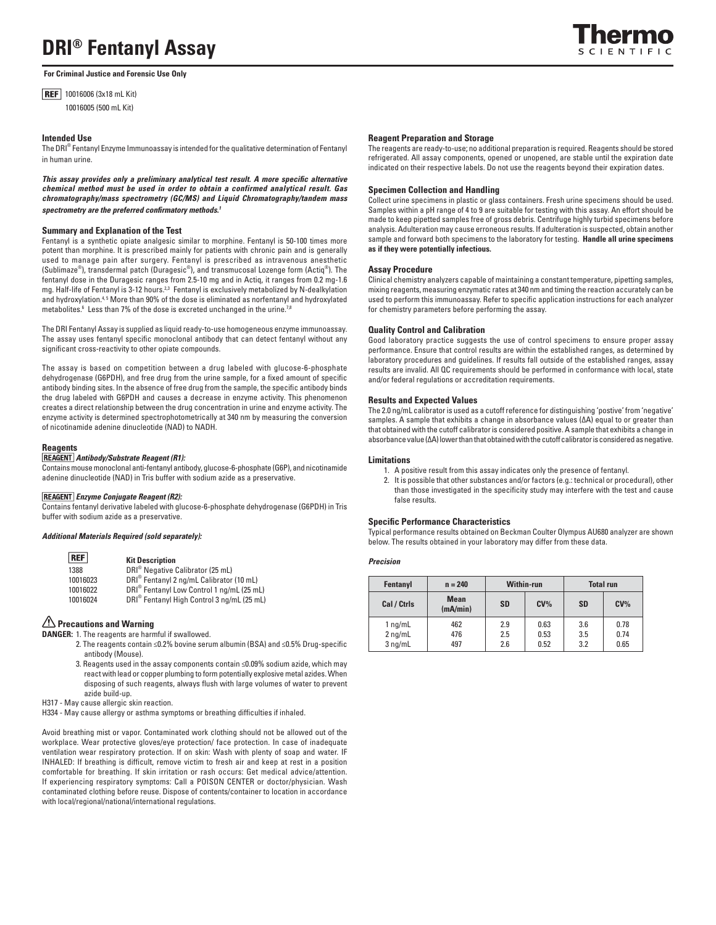# **DRI® Fentanyl Assay**

**For Criminal Justice and Forensic Use Only**

**REF** 10016006 (3x18 mL Kit) 10016005 (500 mL Kit)

# **Intended Use**

The DRI® Fentanyl Enzyme Immunoassay is intended for the qualitative determination of Fentanyl in human urine.

This assay provides only a preliminary analytical test result. A more specific alternative *chemical method must be used in order to obtain a confirmed analytical result. Gas chromatography/mass spectrometry (GC/MS) and Liquid Chromatography/tandem mass*  spectrometry are the preferred confirmatory methods.<sup>1</sup>

# **Summary and Explanation of the Test**

Fentanyl is a synthetic opiate analgesic similar to morphine. Fentanyl is 50-100 times more potent than morphine. It is prescribed mainly for patients with chronic pain and is generally used to manage pain after surgery. Fentanyl is prescribed as intravenous anesthetic (Sublimaze®), transdermal patch (Duragesic®), and transmucosal Lozenge form (Actiq®). The fentanyl dose in the Duragesic ranges from 2.5-10 mg and in Actiq, it ranges from 0.2 mg-1.6 mg. Half-life of Fentanyl is 3-12 hours.<sup>2,3</sup> Fentanyl is exclusively metabolized by N-dealkylation and hydroxylation.<sup>4,5</sup> More than 90% of the dose is eliminated as norfentanyl and hydroxylated metabolites.<sup>6</sup> Less than 7% of the dose is excreted unchanged in the urine.<sup>7,8</sup>

The DRI Fentanyl Assay is supplied as liquid ready-to-use homogeneous enzyme immunoassay. The assay uses fentanyl specific monoclonal antibody that can detect fentanyl without any significant cross-reactivity to other opiate compounds.

The assay is based on competition between a drug labeled with glucose-6-phosphate dehydrogenase (G6PDH), and free drug from the urine sample, for a fixed amount of specific antibody binding sites. In the absence of free drug from the sample, the specific antibody binds the drug labeled with G6PDH and causes a decrease in enzyme activity. This phenomenon creates a direct relationship between the drug concentration in urine and enzyme activity. The enzyme activity is determined spectrophotometrically at 340 nm by measuring the conversion of nicotinamide adenine dinucleotide (NAD) to NADH.

## **Reagents**

# *Antibody/Substrate Reagent (R1):*

Contains mouse monoclonal anti-fentanyl antibody, glucose-6-phosphate (G6P), and nicotinamide adenine dinucleotide (NAD) in Tris buffer with sodium azide as a preservative.

# *Enzyme Conjugate Reagent (R2):*

Contains fentanyl derivative labeled with glucose-6-phosphate dehydrogenase (G6PDH) in Tris buffer with sodium azide as a preservative.

## *Additional Materials Required (sold separately):*

| <b>REF</b> | <b>Kit Description</b>                                 |
|------------|--------------------------------------------------------|
| 1388       | DRI <sup>®</sup> Negative Calibrator (25 mL)           |
| 10016023   | DRI <sup>®</sup> Fentanyl 2 ng/mL Calibrator (10 mL)   |
| 10016022   | DRI <sup>®</sup> Fentanyl Low Control 1 ng/mL (25 mL)  |
| 10016024   | DRI <sup>®</sup> Fentanyl High Control 3 ng/mL (25 mL) |

# **Precautions and Warning**

**DANGER:** 1. The reagents are harmful if swallowed.

- 2. The reagents contain ≤0.2% bovine serum albumin (BSA) and ≤0.5% Drug-specific antibody (Mouse).
	- 3. Reagents used in the assay components contain ≤0.09% sodium azide, which may react with lead or copper plumbing to form potentially explosive metal azides. When disposing of such reagents, always flush with large volumes of water to prevent azide build-up.
- H317 May cause allergic skin reaction.
- H334 May cause allergy or asthma symptoms or breathing difficulties if inhaled.

Avoid breathing mist or vapor. Contaminated work clothing should not be allowed out of the workplace. Wear protective gloves/eye protection/ face protection. In case of inadequate ventilation wear respiratory protection. If on skin: Wash with plenty of soap and water. IF INHALED: If breathing is difficult, remove victim to fresh air and keep at rest in a position comfortable for breathing. If skin irritation or rash occurs: Get medical advice/attention. If experiencing respiratory symptoms: Call a POISON CENTER or doctor/physician. Wash contaminated clothing before reuse. Dispose of contents/container to location in accordance with local/regional/national/international regulations.

#### **Reagent Preparation and Storage**

The reagents are ready-to-use; no additional preparation is required. Reagents should be stored refrigerated. All assay components, opened or unopened, are stable until the expiration date indicated on their respective labels. Do not use the reagents beyond their expiration dates.

#### **Specimen Collection and Handling**

Collect urine specimens in plastic or glass containers. Fresh urine specimens should be used. Samples within a pH range of 4 to 9 are suitable for testing with this assay. An effort should be made to keep pipetted samples free of gross debris. Centrifuge highly turbid specimens before analysis. Adulteration may cause erroneous results. If adulteration is suspected, obtain another sample and forward both specimens to the laboratory for testing. **Handle all urine specimens as if they were potentially infectious.**

#### **Assay Procedure**

Clinical chemistry analyzers capable of maintaining a constant temperature, pipetting samples, mixing reagents, measuring enzymatic rates at 340 nm and timing the reaction accurately can be used to perform this immunoassay. Refer to specific application instructions for each analyzer for chemistry parameters before performing the assay.

# **Quality Control and Calibration**

Good laboratory practice suggests the use of control specimens to ensure proper assay performance. Ensure that control results are within the established ranges, as determined by laboratory procedures and guidelines. If results fall outside of the established ranges, assay results are invalid. All QC requirements should be performed in conformance with local, state and/or federal regulations or accreditation requirements.

#### **Results and Expected Values**

The 2.0 ng/mL calibrator is used as a cutoff reference for distinguishing 'postive' from 'negative' samples. A sample that exhibits a change in absorbance values ( $\Delta A$ ) equal to or greater than that obtained with the cutoff calibrator is considered positive. A sample that exhibits a change in absorbance value (∆A) lower than that obtained with the cutoff calibrator is considered as negative.

## **Limitations**

- 1. A positive result from this assay indicates only the presence of fentanyl.
- 2. It is possible that other substances and/or factors (e.g.: technical or procedural), other than those investigated in the specificity study may interfere with the test and cause false results.

## **Specific Performance Characteristics**

Typical performance results obtained on Beckman Coulter Olympus AU680 analyzer are shown below. The results obtained in your laboratory may differ from these data.

# *Precision*

| Fentanyl                          | $n = 240$               |                   | <b>Within-run</b>    |                   | <b>Total run</b>     |
|-----------------------------------|-------------------------|-------------------|----------------------|-------------------|----------------------|
| Cal / Ctrls                       | <b>Mean</b><br>(mA/min) | <b>SD</b>         | $CV\%$               | <b>SD</b>         | CV <sub>0</sub>      |
| $1$ ng/mL<br>$2$ ng/mL<br>3 ng/mL | 462<br>476<br>497       | 2.9<br>2.5<br>2.6 | 0.63<br>0.53<br>0.52 | 3.6<br>3.5<br>3.2 | 0.78<br>0.74<br>0.65 |

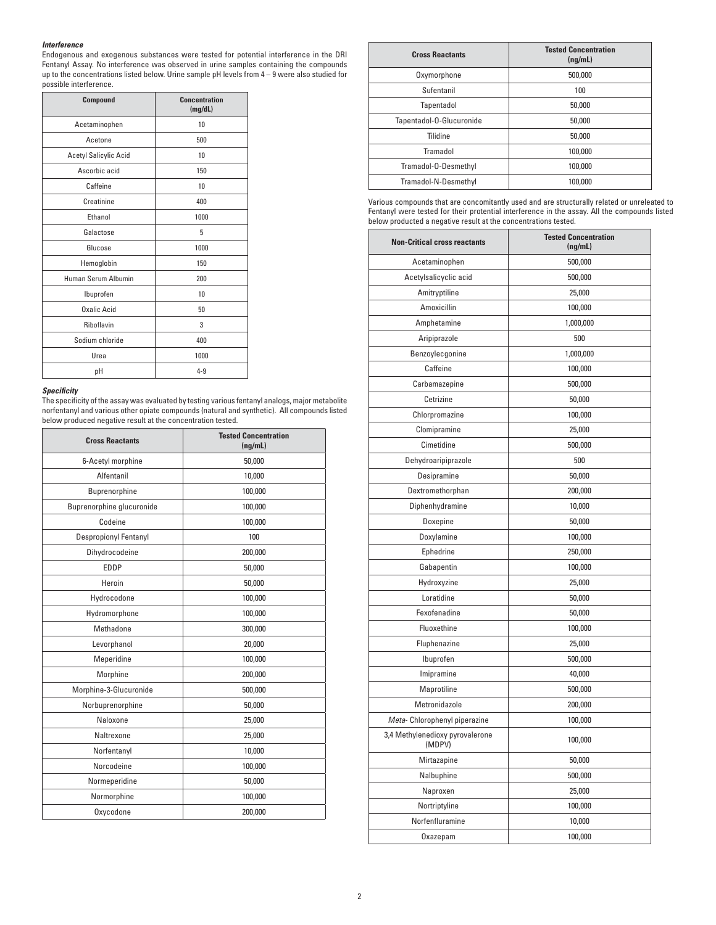# *Interference*

Endogenous and exogenous substances were tested for potential interference in the DRI Fentanyl Assay. No interference was observed in urine samples containing the compounds up to the concentrations listed below. Urine sample pH levels from 4 – 9 were also studied for possible interference.

| Compound              | <b>Concentration</b><br>(mg/dL) |
|-----------------------|---------------------------------|
| Acetaminophen         | 10                              |
| Acetone               | 500                             |
| Acetyl Salicylic Acid | 10                              |
| Ascorbic acid         | 150                             |
| Caffeine              | 10                              |
| Creatinine            | 400                             |
| Ethanol               | 1000                            |
| Galactose             | 5                               |
| Glucose               | 1000                            |
| Hemoglobin            | 150                             |
| Human Serum Albumin   | 200                             |
| Ibuprofen             | 10                              |
| Oxalic Acid           | 50                              |
| Riboflavin            | 3                               |
| Sodium chloride       | 400                             |
| Urea                  | 1000                            |
| рH                    | $4 - 9$                         |

## *Specifi city*

The specificity of the assay was evaluated by testing various fentanyl analogs, major metabolite norfentanyl and various other opiate compounds (natural and synthetic). All compounds listed below produced negative result at the concentration tested.

| <b>Cross Reactants</b>       | <b>Tested Concentration</b><br>(nq/mL) |  |
|------------------------------|----------------------------------------|--|
| 6-Acetyl morphine            | 50,000                                 |  |
| Alfentanil                   | 10,000                                 |  |
| Buprenorphine                | 100,000                                |  |
| Buprenorphine glucuronide    | 100,000                                |  |
| Codeine                      | 100,000                                |  |
| <b>Despropionyl Fentanyl</b> | 100                                    |  |
| Dihydrocodeine               | 200,000                                |  |
| <b>EDDP</b>                  | 50,000                                 |  |
| Heroin                       | 50,000                                 |  |
| Hydrocodone                  | 100,000                                |  |
| Hydromorphone                | 100,000                                |  |
| Methadone                    | 300,000                                |  |
| Levorphanol                  | 20,000                                 |  |
| Meperidine                   | 100,000                                |  |
| Morphine                     | 200,000                                |  |
| Morphine-3-Glucuronide       | 500,000                                |  |
| Norbuprenorphine             | 50,000                                 |  |
| Naloxone                     | 25,000                                 |  |
| Naltrexone                   | 25,000                                 |  |
| Norfentanyl                  | 10,000                                 |  |
| Norcodeine                   | 100,000                                |  |
| Normeperidine                | 50,000                                 |  |
| Normorphine                  | 100,000                                |  |
| Oxycodone                    | 200,000                                |  |

| <b>Cross Reactants</b>   | <b>Tested Concentration</b><br>(ng/mL) |
|--------------------------|----------------------------------------|
| Oxymorphone              | 500,000                                |
| Sufentanil               | 100                                    |
| Tapentadol               | 50,000                                 |
| Tapentadol-O-Glucuronide | 50,000                                 |
| Tilidine                 | 50,000                                 |
| Tramadol                 | 100,000                                |
| Tramadol-O-Desmethyl     | 100,000                                |
| Tramadol-N-Desmethyl     | 100,000                                |

Various compounds that are concomitantly used and are structurally related or unreleated to Fentanyl were tested for their protential interference in the assay. All the compounds listed below producted a negative result at the concentrations tested.

| <b>Non-Critical cross reactants</b>       | <b>Tested Concentration</b><br>(ng/mL) |  |
|-------------------------------------------|----------------------------------------|--|
| Acetaminophen                             | 500,000                                |  |
| Acetylsalicyclic acid                     | 500,000                                |  |
| Amitryptiline                             | 25,000                                 |  |
| Amoxicillin                               | 100,000                                |  |
| Amphetamine                               | 1,000,000                              |  |
| Aripiprazole                              | 500                                    |  |
| Benzoylecgonine                           | 1,000,000                              |  |
| Caffeine                                  | 100,000                                |  |
| Carbamazepine                             | 500,000                                |  |
| Cetrizine                                 | 50,000                                 |  |
| Chlorpromazine                            | 100,000                                |  |
| Clomipramine                              | 25,000                                 |  |
| Cimetidine                                | 500,000                                |  |
| Dehydroaripiprazole                       | 500                                    |  |
| Desipramine                               | 50,000                                 |  |
| Dextromethorphan                          | 200,000                                |  |
| Diphenhydramine                           | 10,000                                 |  |
| <b>Doxepine</b>                           | 50,000                                 |  |
| Doxylamine                                | 100,000                                |  |
| Ephedrine                                 | 250,000                                |  |
| Gabapentin                                | 100,000                                |  |
| Hydroxyzine                               | 25,000                                 |  |
| Loratidine                                | 50,000                                 |  |
| Fexofenadine                              | 50,000                                 |  |
| Fluoxethine                               | 100,000                                |  |
| Fluphenazine                              | 25,000                                 |  |
| Ibuprofen                                 | 500,000                                |  |
| Imipramine                                | 40,000                                 |  |
| Maprotiline                               | 500,000                                |  |
| Metronidazole                             | 200,000                                |  |
| Meta-Chlorophenyl piperazine              | 100,000                                |  |
| 3,4 Methylenedioxy pyrovalerone<br>(MDPV) | 100,000                                |  |
| Mirtazapine                               | 50,000                                 |  |
| Nalbuphine                                | 500,000                                |  |
| Naproxen                                  | 25,000                                 |  |
| Nortriptyline                             | 100,000                                |  |
| Norfenfluramine                           | 10,000                                 |  |
| Oxazepam                                  | 100,000                                |  |